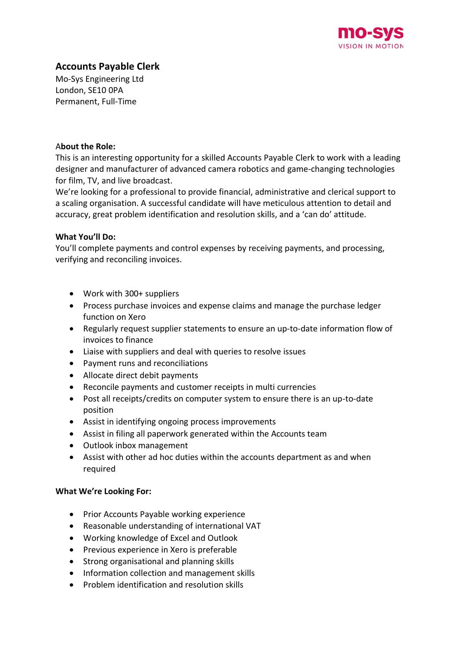

# **Accounts Payable Clerk**

Mo-Sys Engineering Ltd London, SE10 0PA Permanent, Full-Time

#### A**bout the Role:**

This is an interesting opportunity for a skilled Accounts Payable Clerk to work with a leading designer and manufacturer of advanced camera robotics and game-changing technologies for film, TV, and live broadcast.

We're looking for a professional to provide financial, administrative and clerical support to a scaling organisation. A successful candidate will have meticulous attention to detail and accuracy, great problem identification and resolution skills, and a 'can do' attitude.

# **What You'll Do:**

You'll complete payments and control expenses by receiving payments, and processing, verifying and reconciling invoices.

- Work with 300+ suppliers
- Process purchase invoices and expense claims and manage the purchase ledger function on Xero
- Regularly request supplier statements to ensure an up-to-date information flow of invoices to finance
- Liaise with suppliers and deal with queries to resolve issues
- Payment runs and reconciliations
- Allocate direct debit payments
- Reconcile payments and customer receipts in multi currencies
- Post all receipts/credits on computer system to ensure there is an up-to-date position
- Assist in identifying ongoing process improvements
- Assist in filing all paperwork generated within the Accounts team
- Outlook inbox management
- Assist with other ad hoc duties within the accounts department as and when required

# **What We're Looking For:**

- Prior Accounts Payable working experience
- Reasonable understanding of international VAT
- Working knowledge of Excel and Outlook
- Previous experience in Xero is preferable
- Strong organisational and planning skills
- Information collection and management skills
- Problem identification and resolution skills